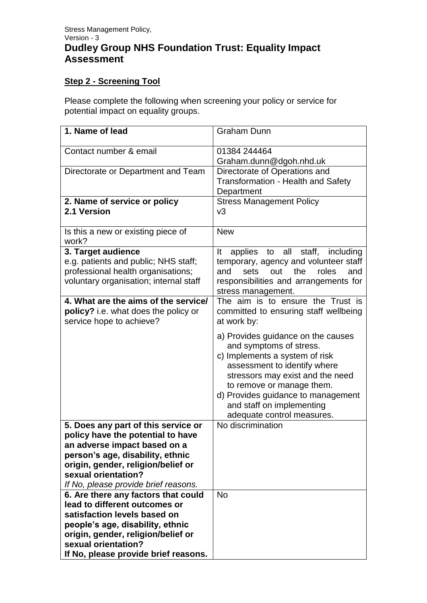## **Step 2 - Screening Tool**

Please complete the following when screening your policy or service for potential impact on equality groups.

| 1. Name of lead                                                        | <b>Graham Dunn</b>                                                             |
|------------------------------------------------------------------------|--------------------------------------------------------------------------------|
| Contact number & email                                                 | 01384 244464                                                                   |
|                                                                        | Graham.dunn@dgoh.nhd.uk                                                        |
| Directorate or Department and Team                                     | Directorate of Operations and                                                  |
|                                                                        | <b>Transformation - Health and Safety</b>                                      |
|                                                                        | Department                                                                     |
| 2. Name of service or policy                                           | <b>Stress Management Policy</b>                                                |
| 2.1 Version                                                            | v3                                                                             |
|                                                                        |                                                                                |
| Is this a new or existing piece of                                     | <b>New</b>                                                                     |
| work?                                                                  |                                                                                |
| 3. Target audience<br>e.g. patients and public; NHS staff;             | applies to all staff, including<br>It<br>temporary, agency and volunteer staff |
| professional health organisations;                                     | sets<br>out<br>the<br>roles<br>and<br>and                                      |
| voluntary organisation; internal staff                                 | responsibilities and arrangements for                                          |
|                                                                        | stress management.                                                             |
| 4. What are the aims of the service/                                   | The aim is to ensure the Trust is                                              |
| policy? i.e. what does the policy or                                   | committed to ensuring staff wellbeing                                          |
| service hope to achieve?                                               | at work by:                                                                    |
|                                                                        |                                                                                |
|                                                                        | a) Provides guidance on the causes<br>and symptoms of stress.                  |
|                                                                        | c) Implements a system of risk                                                 |
|                                                                        | assessment to identify where                                                   |
|                                                                        | stressors may exist and the need                                               |
|                                                                        | to remove or manage them.                                                      |
|                                                                        | d) Provides guidance to management                                             |
|                                                                        | and staff on implementing                                                      |
|                                                                        | adequate control measures.                                                     |
| 5. Does any part of this service or                                    | No discrimination                                                              |
| policy have the potential to have                                      |                                                                                |
| an adverse impact based on a                                           |                                                                                |
| person's age, disability, ethnic<br>origin, gender, religion/belief or |                                                                                |
| sexual orientation?                                                    |                                                                                |
| If No, please provide brief reasons.                                   |                                                                                |
| 6. Are there any factors that could                                    | <b>No</b>                                                                      |
| lead to different outcomes or                                          |                                                                                |
| satisfaction levels based on                                           |                                                                                |
| people's age, disability, ethnic                                       |                                                                                |
| origin, gender, religion/belief or                                     |                                                                                |
| sexual orientation?                                                    |                                                                                |
| If No, please provide brief reasons.                                   |                                                                                |